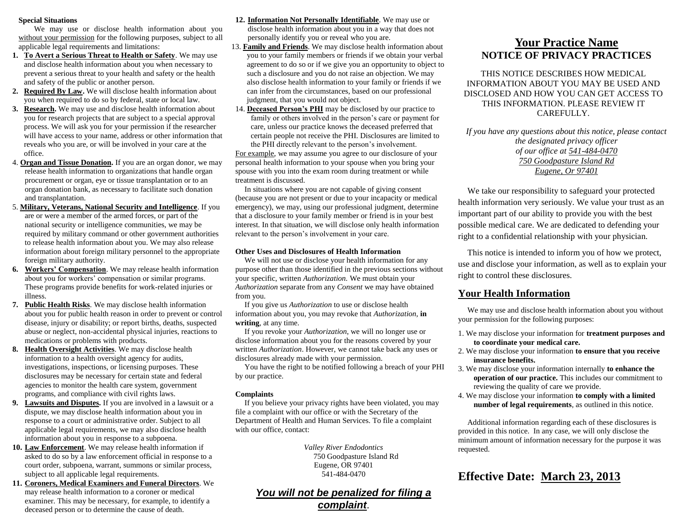#### **Special Situations**

We may use or disclose health information about you without your permission for the following purposes, subject to all applicable legal requirements and limitations:

- **1. To Avert a Serious Threat to Health or Safety**. We may use and disclose health information about you when necessary to prevent a serious threat to your health and safety or the health and safety of the public or another person.
- **2. Required By Law.** We will disclose health information about you when required to do so by federal, state or local law.
- **3. Research.** We may use and disclose health information about you for research projects that are subject to a special approval process. We will ask you for your permission if the researcher will have access to your name, address or other information that reveals who you are, or will be involved in your care at the office.
- 4. **Organ and Tissue Donation.** If you are an organ donor, we may release health information to organizations that handle organ procurement or organ, eye or tissue transplantation or to an organ donation bank, as necessary to facilitate such donation and transplantation.
- 5. **Military, Veterans, National Security and Intelligence**. If you are or were a member of the armed forces, or part of the national security or intelligence communities, we may be required by military command or other government authorities to release health information about you. We may also release information about foreign military personnel to the appropriate foreign military authority.
- **6. Workers' Compensation**. We may release health information about you for workers' compensation or similar programs. These programs provide benefits for work-related injuries or illness.
- **7. Public Health Risks**. We may disclose health information about you for public health reason in order to prevent or control disease, injury or disability; or report births, deaths, suspected abuse or neglect, non-accidental physical injuries, reactions to medications or problems with products.
- **8. Health Oversight Activities**. We may disclose health information to a health oversight agency for audits, investigations, inspections, or licensing purposes. These disclosures may be necessary for certain state and federal agencies to monitor the health care system, government programs, and compliance with civil rights laws.
- **9. Lawsuits and Disputes.** If you are involved in a lawsuit or a dispute, we may disclose health information about you in response to a court or administrative order. Subject to all applicable legal requirements, we may also disclose health information about you in response to a subpoena.
- **10. Law Enforcement**. We may release health information if asked to do so by a law enforcement official in response to a court order, subpoena, warrant, summons or similar process, subject to all applicable legal requirements.
- **11. Coroners, Medical Examiners and Funeral Directors**. We may release health information to a coroner or medical examiner. This may be necessary, for example, to identify a deceased person or to determine the cause of death.

**12. Information Not Personally Identifiable**. We may use or

disclose health information about you in a way that does not personally identify you or reveal who you are.

- 13. **Family and Friends**. We may disclose health information about you to your family members or friends if we obtain your verbal agreement to do so or if we give you an opportunity to object to such a disclosure and you do not raise an objection. We may also disclose health information to your family or friends if we can infer from the circumstances, based on our professional judgment, that you would not object.
- 14. **Deceased Person's PHI** may be disclosed by our practice to family or others involved in the person's care or payment for care, unless our practice knows the deceased preferred that certain people not receive the PHI. Disclosures are limited to the PHI directly relevant to the person's involvement.

For example, we may assume you agree to our disclosure of your personal health information to your spouse when you bring your spouse with you into the exam room during treatment or while treatment is discussed.

In situations where you are not capable of giving consent (because you are not present or due to your incapacity or medical emergency), we may, using our professional judgment, determine that a disclosure to your family member or friend is in your best interest. In that situation, we will disclose only health information relevant to the person's involvement in your care.

# **Other Uses and Disclosures of Health Information**

We will not use or disclose your health information for any purpose other than those identified in the previous sections without your specific, written *Authorization.* We must obtain your *Authorization* separate from any *Consent* we may have obtained from you.

If you give us *Authorization* to use or disclose health information about you, you may revoke that *Authorization*, **in writing**, at any time.

If you revoke your *Authorization*, we will no longer use or disclose information about you for the reasons covered by your written *Authorization*. However, we cannot take back any uses or disclosures already made with your permission.

You have the right to be notified following a breach of your PHI by our practice.

# **Complaints**

If you believe your privacy rights have been violated, you may file a complaint with our office or with the Secretary of the Department of Health and Human Services. To file a complaint with our office, contact:

> *Valley River Endodontics* 750 Goodpasture Island Rd Eugene, OR 97401 541-484-0470

# *You will not be penalized for filing a complaint*.

# **Your Practice Name NOTICE OF PRIVACY PRACTICES**

THIS NOTICE DESCRIBES HOW MEDICAL INFORMATION ABOUT YOU MAY BE USED AND DISCLOSED AND HOW YOU CAN GET ACCESS TO THIS INFORMATION. PLEASE REVIEW IT CAREFULLY.

*If you have any questions about this notice, please contact the designated privacy officer of our office at 541-484-0470 750 Goodpasture Island Rd Eugene, Or 97401*

We take our responsibility to safeguard your protected health information very seriously. We value your trust as an important part of our ability to provide you with the best possible medical care. We are dedicated to defending your right to a confidential relationship with your physician.

This notice is intended to inform you of how we protect, use and disclose your information, as well as to explain your right to control these disclosures.

# **Your Health Information**

We may use and disclose health information about you without your permission for the following purposes:

- 1. We may disclose your information for **treatment purposes and to coordinate your medical care.**
- 2. We may disclose your information **to ensure that you receive insurance benefits.**
- 3. We may disclose your information internally **to enhance the operation of our practice.** This includes our commitment to reviewing the quality of care we provide.
- 4. We may disclose your information **to comply with a limited number of legal requirements**, as outlined in this notice.

Additional information regarding each of these disclosures is provided in this notice. In any case, we will only disclose the minimum amount of information necessary for the purpose it was requested.

# **Effective Date: March 23, 2013**